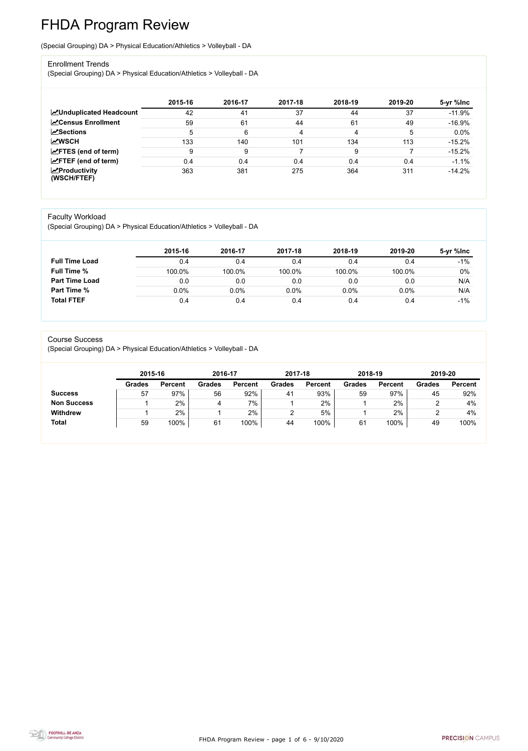FHDA Program Review - page 1 of 6 - 9/10/2020



# FHDA Program Review

(Special Grouping) DA > Physical Education/Athletics > Volleyball - DA

#### Enrollment Trends

(Special Grouping) DA > Physical Education/Athletics > Volleyball - DA

|                                                  | 2015-16 | 2016-17 | 2017-18 | 2018-19 | 2019-20 | 5-yr %lnc |
|--------------------------------------------------|---------|---------|---------|---------|---------|-----------|
| <b>ZUnduplicated Headcount</b>                   | 42      | 41      | 37      | 44      | 37      | $-11.9%$  |
| <b>ZCensus Enrollment</b>                        | 59      | 61      | 44      | 61      | 49      | $-16.9%$  |
| <b>ZSections</b>                                 | 5       | 6       | 4       | 4       | 5       | 0.0%      |
| <b>MWSCH</b>                                     | 133     | 140     | 101     | 134     | 113     | $-15.2%$  |
| $\angle$ FTES (end of term)                      | 9       | 9       |         | 9       |         | $-15.2%$  |
| $\angle$ FTEF (end of term)                      | 0.4     | 0.4     | 0.4     | 0.4     | 0.4     | $-1.1%$   |
| $\sqrt{\frac{1}{2}}$ Productivity<br>(WSCH/FTEF) | 363     | 381     | 275     | 364     | 311     | $-14.2%$  |

#### Faculty Workload

(Special Grouping) DA > Physical Education/Athletics > Volleyball - DA

|                       | 2015-16 | 2016-17 | 2017-18 | 2018-19 | 2019-20 | 5-yr %lnc |
|-----------------------|---------|---------|---------|---------|---------|-----------|
| <b>Full Time Load</b> | 0.4     | 0.4     | 0.4     | 0.4     | 0.4     | $-1%$     |
| <b>Full Time %</b>    | 100.0%  | 100.0%  | 100.0%  | 100.0%  | 100.0%  | $0\%$     |
| <b>Part Time Load</b> | 0.0     | 0.0     | 0.0     | 0.0     | 0.0     | N/A       |
| <b>Part Time %</b>    | 0.0%    | $0.0\%$ | 0.0%    | 0.0%    | 0.0%    | N/A       |
| <b>Total FTEF</b>     | 0.4     | 0.4     | 0.4     | 0.4     | 0.4     | $-1%$     |

#### Course Success

(Special Grouping) DA > Physical Education/Athletics > Volleyball - DA

|                    | 2015-16       |                | 2016-17 |                | 2017-18       |                | 2018-19       |                | 2019-20       |                |
|--------------------|---------------|----------------|---------|----------------|---------------|----------------|---------------|----------------|---------------|----------------|
|                    | <b>Grades</b> | <b>Percent</b> | Grades  | <b>Percent</b> | <b>Grades</b> | <b>Percent</b> | <b>Grades</b> | <b>Percent</b> | <b>Grades</b> | <b>Percent</b> |
| <b>Success</b>     | 57            | 97%            | 56      | 92%            | 41            | 93%            | 59            | 97%            | 45            | 92%            |
| <b>Non Success</b> |               | 2%             | 4       | 7%             |               | 2%             |               | 2%             |               | 4%             |
| <b>Withdrew</b>    |               | 2%             |         | 2%             |               | 5%             |               | 2%             |               | 4%             |
| <b>Total</b>       | 59            | 100%           | 61      | 100%           | 44            | 100%           | 61            | 100%           | 49            | 100%           |
|                    |               |                |         |                |               |                |               |                |               |                |

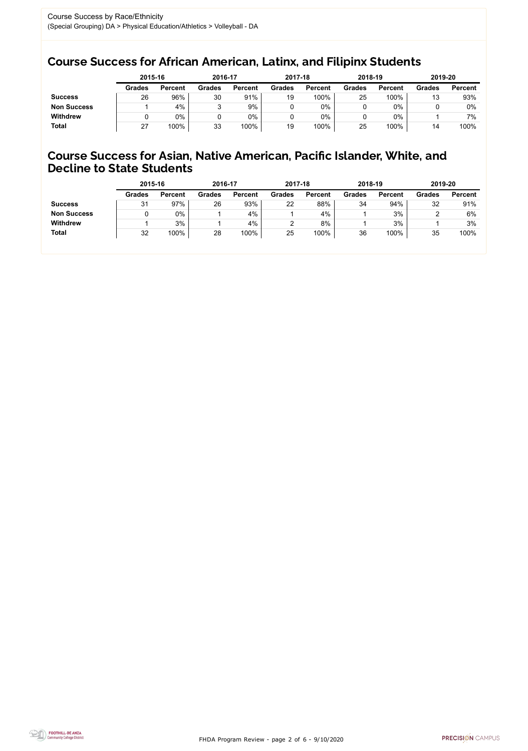FHDA Program Review - page 2 of 6 - 9/10/2020



## Course Success for African American, Latinx, and Filipinx Students

### Course Success for Asian, Native American, Pacific Islander, White, and Decline to State Students

|                    | 2015-16       |                | 2016-17       |                | 2017-18       |                | 2018-19       |                | 2019-20       |                |
|--------------------|---------------|----------------|---------------|----------------|---------------|----------------|---------------|----------------|---------------|----------------|
|                    | <b>Grades</b> | <b>Percent</b> | <b>Grades</b> | <b>Percent</b> | <b>Grades</b> | <b>Percent</b> | <b>Grades</b> | <b>Percent</b> | <b>Grades</b> | <b>Percent</b> |
| <b>Success</b>     | 26            | 96%            | 30            | 91%            | 19            | 100%           | 25            | 100%           | 13            | 93%            |
| <b>Non Success</b> |               | 4%             | ື             | 9%             |               | $0\%$          |               | 0%             |               | $0\%$          |
| <b>Withdrew</b>    |               | $0\%$          |               | $0\%$          |               | $0\%$          |               | 0%             |               | 7%             |
| <b>Total</b>       | 27            | 100%           | 33            | 100%           | 19            | 100%           | 25            | 100%           | 14            | 100%           |

|                    | 2015-16       |                | 2016-17       |                | 2017-18       |                | 2018-19       |                | 2019-20       |                |
|--------------------|---------------|----------------|---------------|----------------|---------------|----------------|---------------|----------------|---------------|----------------|
|                    | <b>Grades</b> | <b>Percent</b> | <b>Grades</b> | <b>Percent</b> | <b>Grades</b> | <b>Percent</b> | <b>Grades</b> | <b>Percent</b> | <b>Grades</b> | <b>Percent</b> |
| <b>Success</b>     | 31            | 97%            | 26            | 93%            | 22            | 88%            | 34            | 94%            | 32            | 91%            |
| <b>Non Success</b> |               | $0\%$          |               | 4%             |               | 4%             |               | 3%             |               | 6%             |
| <b>Withdrew</b>    |               | 3%             |               | 4%             |               | 8%             |               | 3%             |               | 3%             |
| <b>Total</b>       | 32            | 100%           | 28            | 100%           | 25            | 100%           | 36            | 100%           | 35            | 100%           |
|                    |               |                |               |                |               |                |               |                |               |                |

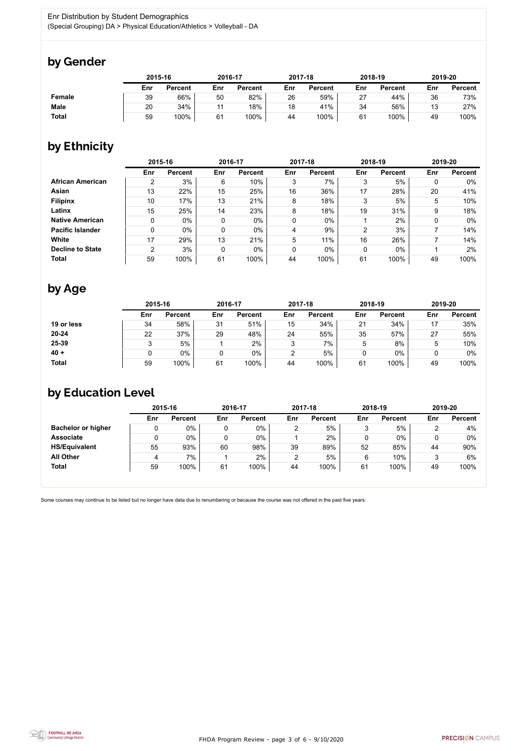FHDA Program Review - page 3 of 6 - 9/10/2020



Some courses may continue to be listed but no longer have data due to renumbering or because the course was not offered in the past five years.



# by Gender

|               | 2015-16 |                |     | 2016-17        |     | 2017-18        | 2018-19 |                | 2019-20 |                |
|---------------|---------|----------------|-----|----------------|-----|----------------|---------|----------------|---------|----------------|
|               | Enr     | <b>Percent</b> | Enr | <b>Percent</b> | Enr | <b>Percent</b> | Enr     | <b>Percent</b> | Enr     | <b>Percent</b> |
| <b>Female</b> | 39      | 66%            | 50  | 82%            | 26  | 59%            | 27      | 44%            | 36      | 73%            |
| <b>Male</b>   | 20      | 34%            | 11  | 18%            | 18  | 41%            | 34      | 56%            | 12      | 27%            |
| <b>Total</b>  | 59      | 100%           | 61  | 100%           | 44  | 100%           | 61      | 100%           | 49      | 100%           |

# by Ethnicity

|                         | 2015-16 |                |     | 2016-17        |     | 2017-18        |                | 2018-19        | 2019-20 |                |
|-------------------------|---------|----------------|-----|----------------|-----|----------------|----------------|----------------|---------|----------------|
|                         | Enr     | <b>Percent</b> | Enr | <b>Percent</b> | Enr | <b>Percent</b> | Enr            | <b>Percent</b> | Enr     | <b>Percent</b> |
| <b>African American</b> | 2       | 3%             | 6   | 10%            | 3   | 7%             | 3              | 5%             | 0       | 0%             |
| Asian                   | 13      | 22%            | 15  | 25%            | 16  | 36%            | 17             | 28%            | 20      | 41%            |
| <b>Filipinx</b>         | 10      | 17%            | 13  | 21%            | 8   | 18%            | 3              | 5%             | 5       | 10%            |
| Latinx                  | 15      | 25%            | 14  | 23%            | 8   | 18%            | 19             | 31%            | 9       | 18%            |
| <b>Native American</b>  | 0       | $0\%$          | 0   | $0\%$          | 0   | $0\%$          |                | 2%             | 0       | $0\%$          |
| <b>Pacific Islander</b> | 0       | $0\%$          | 0   | $0\%$          | 4   | 9%             | $\overline{2}$ | 3%             |         | 14%            |
| White                   | 17      | 29%            | 13  | 21%            | 5   | 11%            | 16             | 26%            |         | 14%            |
| <b>Decline to State</b> | 2       | 3%             | 0   | 0%             | 0   | $0\%$          | 0              | $0\%$          |         | 2%             |
| <b>Total</b>            | 59      | 100%           | 61  | 100%           | 44  | 100%           | 61             | 100%           | 49      | 100%           |

# by Age

|              | 2015-16 |                |     | 2016-17        |                | 2017-18        |     | 2018-19        | 2019-20 |                |
|--------------|---------|----------------|-----|----------------|----------------|----------------|-----|----------------|---------|----------------|
|              | Enr     | <b>Percent</b> | Enr | <b>Percent</b> | Enr            | <b>Percent</b> | Enr | <b>Percent</b> | Enr     | <b>Percent</b> |
| 19 or less   | 34      | 58%            | 31  | 51%            | 15             | 34%            | 21  | 34%            | 17      | 35%            |
| $20 - 24$    | 22      | 37%            | 29  | 48%            | 24             | 55%            | 35  | 57%            | 27      | 55%            |
| 25-39        |         | 5%             |     | 2%             | 3              | 7%             | ა   | 8%             | 5       | 10%            |
| $40 +$       |         | $0\%$          |     | 0%             | $\overline{2}$ | 5%             | U   | $0\%$          |         | 0%             |
| <b>Total</b> | 59      | 100%           | 61  | 100%           | 44             | 100%           | 61  | 100%           | 49      | 100%           |

# by Education Level

|                           | 2015-16 |                |     | 2016-17        |     | 2017-18        | 2018-19 |                | 2019-20 |                |
|---------------------------|---------|----------------|-----|----------------|-----|----------------|---------|----------------|---------|----------------|
|                           | Enr     | <b>Percent</b> | Enr | <b>Percent</b> | Enr | <b>Percent</b> | Enr     | <b>Percent</b> | Enr     | <b>Percent</b> |
| <b>Bachelor or higher</b> | U       | $0\%$          |     | $0\%$          |     | 5%             |         | 5%             |         | 4%             |
| <b>Associate</b>          | ν       | $0\%$          |     | $0\%$          |     | 2%             |         | $0\%$          |         | $0\%$          |
| <b>HS/Equivalent</b>      | 55      | 93%            | 60  | 98%            | 39  | 89%            | 52      | 85%            | 44      | 90%            |
| <b>All Other</b>          | 4       | 7%             |     | 2%             |     | 5%             |         | 10%            |         | 6%             |
| <b>Total</b>              | 59      | 100%           | 61  | 100%           | 44  | 100%           | 61      | 100%           | 49      | 100%           |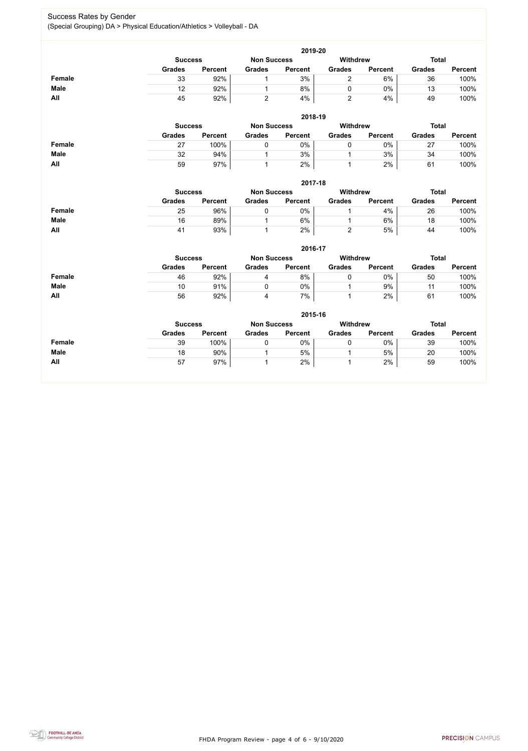FHDA Program Review - page 4 of 6 - 9/10/2020



### Success Rates by Gender (Special Grouping) DA > Physical Education/Athletics > Volleyball - DA

|               |                |                |                    | 2019-20        |                 |                |               |                |  |  |  |  |
|---------------|----------------|----------------|--------------------|----------------|-----------------|----------------|---------------|----------------|--|--|--|--|
|               | <b>Success</b> |                | <b>Non Success</b> |                | Withdrew        |                | <b>Total</b>  |                |  |  |  |  |
|               | <b>Grades</b>  | <b>Percent</b> | <b>Grades</b>      | <b>Percent</b> | <b>Grades</b>   | <b>Percent</b> | <b>Grades</b> | <b>Percent</b> |  |  |  |  |
| <b>Female</b> | 33             | 92%            | 1                  | 3%             | $\overline{2}$  | 6%             | 36            | 100%           |  |  |  |  |
| <b>Male</b>   | 12             | 92%            | $\mathbf 1$        | 8%             | $\overline{0}$  | $0\%$          | 13            | 100%           |  |  |  |  |
| All           | 45             | 92%            | $\overline{2}$     | 4%             | $\overline{2}$  | 4%             | 49            | 100%           |  |  |  |  |
|               |                |                |                    | 2018-19        |                 |                |               |                |  |  |  |  |
|               | <b>Success</b> |                | <b>Non Success</b> |                | Withdrew        |                | <b>Total</b>  |                |  |  |  |  |
|               | <b>Grades</b>  | <b>Percent</b> | <b>Grades</b>      | <b>Percent</b> | <b>Grades</b>   | <b>Percent</b> | <b>Grades</b> | <b>Percent</b> |  |  |  |  |
| <b>Female</b> | 27             | 100%           | $\overline{0}$     | 0%             | $\mathbf 0$     | $0\%$          | 27            | 100%           |  |  |  |  |
| <b>Male</b>   | 32             | 94%            | $\mathbf 1$        | 3%             | $\mathbf 1$     | 3%             | 34            | 100%           |  |  |  |  |
| All           | 59             | 97%            | $\mathbf{1}$       | 2%             | $\mathbf{1}$    | 2%             | 61            | 100%           |  |  |  |  |
|               |                |                |                    | 2017-18        |                 |                |               |                |  |  |  |  |
|               | <b>Success</b> |                | <b>Non Success</b> |                | <b>Withdrew</b> |                | <b>Total</b>  |                |  |  |  |  |
|               | <b>Grades</b>  | <b>Percent</b> | <b>Grades</b>      | <b>Percent</b> | <b>Grades</b>   | <b>Percent</b> | <b>Grades</b> | <b>Percent</b> |  |  |  |  |
| <b>Female</b> | 25             | 96%            | $\mathbf 0$        | 0%             | 1               | 4%             | 26            | 100%           |  |  |  |  |
| <b>Male</b>   | 16             | 89%            | $\mathbf{1}$       | 6%             | $\mathbf{1}$    | 6%             | 18            | 100%           |  |  |  |  |
| All           | 41             | 93%            | 1                  | 2%             | $\overline{2}$  | $5\%$          | 44            | 100%           |  |  |  |  |
|               |                |                |                    | 2016-17        |                 |                |               |                |  |  |  |  |
|               | <b>Success</b> |                | <b>Non Success</b> |                | Withdrew        |                | <b>Total</b>  |                |  |  |  |  |
|               | <b>Grades</b>  | <b>Percent</b> | <b>Grades</b>      | <b>Percent</b> | <b>Grades</b>   | <b>Percent</b> | <b>Grades</b> | <b>Percent</b> |  |  |  |  |
| <b>Female</b> | 46             | 92%            | $\overline{4}$     | 8%             | $\mathbf 0$     | $0\%$          | 50            | 100%           |  |  |  |  |
| <b>Male</b>   | 10             | 91%            | $\mathbf 0$        | 0%             | $\mathbf{1}$    | 9%             | 11            | 100%           |  |  |  |  |
| All           | 56             | 92%            | $\overline{4}$     | 7%             | $\mathbf{1}$    | 2%             | 61            | 100%           |  |  |  |  |
|               |                | 2015-16        |                    |                |                 |                |               |                |  |  |  |  |
|               | <b>Success</b> |                | <b>Non Success</b> |                | <b>Withdrew</b> |                | <b>Total</b>  |                |  |  |  |  |

|               | wuvvuu        |                | טטטעאט וועו   |                | **********    |                | .             |                |
|---------------|---------------|----------------|---------------|----------------|---------------|----------------|---------------|----------------|
|               | <b>Grades</b> | <b>Percent</b> | <b>Grades</b> | <b>Percent</b> | <b>Grades</b> | <b>Percent</b> | <b>Grades</b> | <b>Percent</b> |
| <b>Female</b> | 39            | 100%           |               | 0%             |               | 0%             | 39            | 100%           |
| <b>Male</b>   | 18            | 90%            |               | 5%             |               | 5%             | 20            | 100%           |
| All           | 57            | 97%            |               | 2%             |               | 2%             | 59            | 100%           |

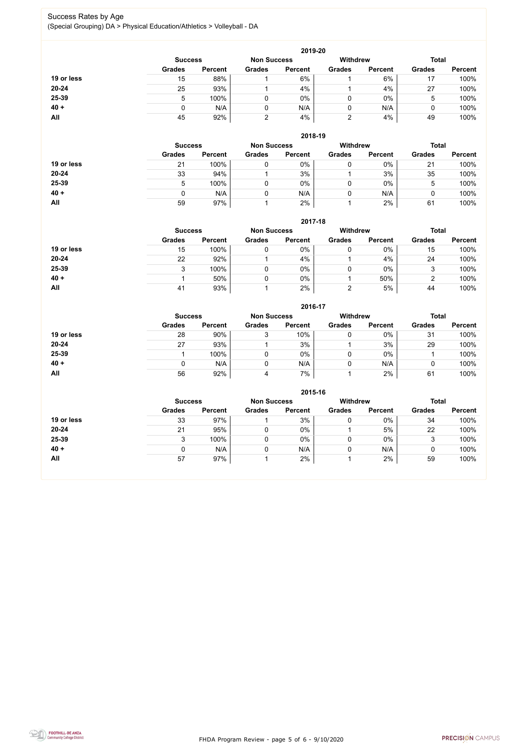FHDA Program Review - page 5 of 6 - 9/10/2020



### Success Rates by Age (Special Grouping) DA > Physical Education/Athletics > Volleyball - DA

|            |                |                |                                       | 2019-20        |               |                |               |                |
|------------|----------------|----------------|---------------------------------------|----------------|---------------|----------------|---------------|----------------|
|            | <b>Success</b> |                | <b>Withdrew</b><br><b>Non Success</b> |                |               | <b>Total</b>   |               |                |
|            | <b>Grades</b>  | <b>Percent</b> | <b>Grades</b>                         | <b>Percent</b> | <b>Grades</b> | <b>Percent</b> | <b>Grades</b> | <b>Percent</b> |
| 19 or less | 15             | 88%            |                                       | 6%             |               | 6%             | 17            | 100%           |
| $20 - 24$  | 25             | 93%            |                                       | 4%             |               | 4%             | 27            | 100%           |
| 25-39      | 5              | 100%           |                                       | $0\%$          |               | $0\%$          | 5             | 100%           |
| $40 +$     | 0              | N/A            |                                       | N/A            |               | N/A            |               | 100%           |
| All        | 45             | 92%            | ົ                                     | 4%             | າ<br>∼        | 4%             | 49            | 100%           |

|            | 2018-19        |                |                    |                |                 |                |               |                |  |  |
|------------|----------------|----------------|--------------------|----------------|-----------------|----------------|---------------|----------------|--|--|
|            | <b>Success</b> |                | <b>Non Success</b> |                | <b>Withdrew</b> | <b>Total</b>   |               |                |  |  |
|            | <b>Grades</b>  | <b>Percent</b> | <b>Grades</b>      | <b>Percent</b> | <b>Grades</b>   | <b>Percent</b> | <b>Grades</b> | <b>Percent</b> |  |  |
| 19 or less | 21             | 100%           |                    | $0\%$          | 0               | 0%             | 21            | 100%           |  |  |
| $20 - 24$  | 33             | 94%            |                    | 3%             |                 | 3%             | 35            | 100%           |  |  |
| 25-39      | 5              | 100%           |                    | $0\%$          | 0               | $0\%$          | 5             | 100%           |  |  |
| $40 +$     | 0              | N/A            |                    | N/A            | 0               | N/A            |               | 100%           |  |  |
| All        | 59             | 97%            |                    | 2%             |                 | 2%             | 61            | 100%           |  |  |

#### **2017-18**

|            | 2017-18        |                |                    |                |                 |                |               |                |  |  |
|------------|----------------|----------------|--------------------|----------------|-----------------|----------------|---------------|----------------|--|--|
|            | <b>Success</b> |                | <b>Non Success</b> |                | <b>Withdrew</b> | <b>Total</b>   |               |                |  |  |
|            | <b>Grades</b>  | <b>Percent</b> | <b>Grades</b>      | <b>Percent</b> | <b>Grades</b>   | <b>Percent</b> | <b>Grades</b> | <b>Percent</b> |  |  |
| 19 or less | 15             | 100%           |                    | 0%             |                 | $0\%$          | 15            | 100%           |  |  |
| $20 - 24$  | 22             | 92%            |                    | 4%             |                 | 4%             | 24            | 100%           |  |  |
| 25-39      |                | 100%           |                    | 0%             |                 | $0\%$          |               | 100%           |  |  |
| $40 +$     |                | 50%            |                    | $0\%$          |                 | 50%            |               | 100%           |  |  |
| All        | 41             | 93%            |                    | 2%             |                 | 5%             | 44            | 100%           |  |  |

#### **2016-17**



|            | $2010 - 11$   |                |               |                    |               |                 |               |                |  |
|------------|---------------|----------------|---------------|--------------------|---------------|-----------------|---------------|----------------|--|
|            |               | <b>Success</b> |               | <b>Non Success</b> |               | <b>Withdrew</b> |               | <b>Total</b>   |  |
|            | <b>Grades</b> | <b>Percent</b> | <b>Grades</b> | <b>Percent</b>     | <b>Grades</b> | <b>Percent</b>  | <b>Grades</b> | <b>Percent</b> |  |
| 19 or less | 28            | 90%            | J             | 10%                |               | $0\%$           | 31            | 100%           |  |
| $20 - 24$  | 27            | 93%            |               | 3%                 |               | 3%              | 29            | 100%           |  |
| 25-39      |               | 100%           |               | 0%                 |               | $0\%$           |               | 100%           |  |
| $40 +$     |               | N/A            |               | N/A                |               | N/A             |               | 100%           |  |
| All        | 56            | 92%            | 4             | 7%                 |               | 2%              | 61            | 100%           |  |

|            | 2015-16        |                |               |                                       |               |                |               |                |  |  |  |
|------------|----------------|----------------|---------------|---------------------------------------|---------------|----------------|---------------|----------------|--|--|--|
|            | <b>Success</b> |                |               | <b>Withdrew</b><br><b>Non Success</b> |               |                | <b>Total</b>  |                |  |  |  |
|            | <b>Grades</b>  | <b>Percent</b> | <b>Grades</b> | <b>Percent</b>                        | <b>Grades</b> | <b>Percent</b> | <b>Grades</b> | <b>Percent</b> |  |  |  |
| 19 or less | 33             | 97%            |               | 3%                                    |               | 0%             | 34            | 100%           |  |  |  |
| $20 - 24$  | 21             | 95%            |               | 0%                                    |               | 5%             | 22            | 100%           |  |  |  |
| 25-39      | 3              | 100%           |               | $0\%$                                 |               | 0%             | 3             | 100%           |  |  |  |
| $40 +$     |                | N/A            | ν             | N/A                                   |               | N/A            | $\mathbf 0$   | 100%           |  |  |  |
| All        | 57             | 97%            |               | 2%                                    |               | 2%             | 59            | 100%           |  |  |  |